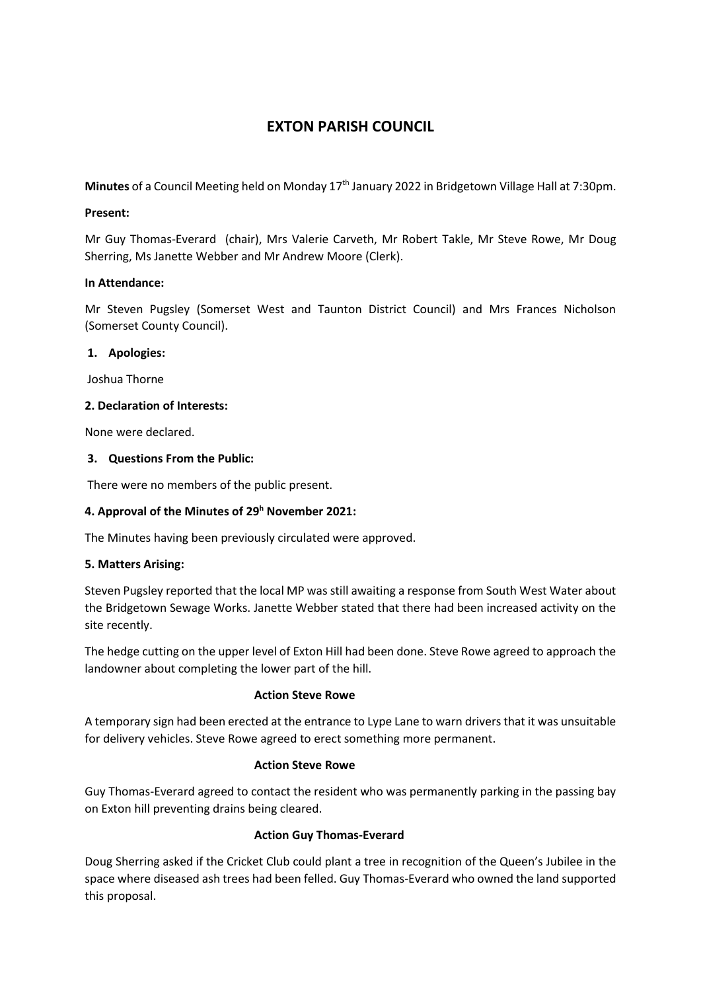# **EXTON PARISH COUNCIL**

Minutes of a Council Meeting held on Monday 17<sup>th</sup> January 2022 in Bridgetown Village Hall at 7:30pm.

#### **Present:**

Mr Guy Thomas-Everard (chair), Mrs Valerie Carveth, Mr Robert Takle, Mr Steve Rowe, Mr Doug Sherring, Ms Janette Webber and Mr Andrew Moore (Clerk).

## **In Attendance:**

Mr Steven Pugsley (Somerset West and Taunton District Council) and Mrs Frances Nicholson (Somerset County Council).

## **1. Apologies:**

Joshua Thorne

## **2. Declaration of Interests:**

None were declared.

# **3. Questions From the Public:**

There were no members of the public present.

# **4. Approval of the Minutes of 29<sup>h</sup> November 2021:**

The Minutes having been previously circulated were approved.

# **5. Matters Arising:**

Steven Pugsley reported that the local MP was still awaiting a response from South West Water about the Bridgetown Sewage Works. Janette Webber stated that there had been increased activity on the site recently.

The hedge cutting on the upper level of Exton Hill had been done. Steve Rowe agreed to approach the landowner about completing the lower part of the hill.

#### **Action Steve Rowe**

A temporary sign had been erected at the entrance to Lype Lane to warn drivers that it was unsuitable for delivery vehicles. Steve Rowe agreed to erect something more permanent.

#### **Action Steve Rowe**

Guy Thomas-Everard agreed to contact the resident who was permanently parking in the passing bay on Exton hill preventing drains being cleared.

# **Action Guy Thomas-Everard**

Doug Sherring asked if the Cricket Club could plant a tree in recognition of the Queen's Jubilee in the space where diseased ash trees had been felled. Guy Thomas-Everard who owned the land supported this proposal.